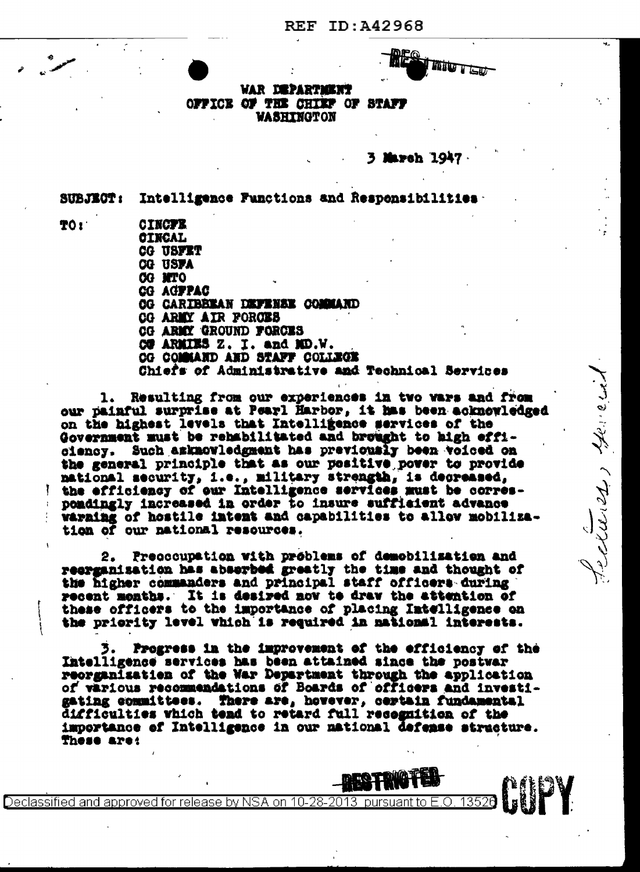**REF ID: A42968** 



cluses there

**VAR DEPARTMENT** OFFICE OF THE CHIEF OF STAFF **VASHINGTON** 

March 1947

Intelligence Functions and Responsibilities **SUBJECT:** 

TO:

**CINCPE CINCAL** CG USFET **CG USFA CG NTO CG AGFPAC CG CARIBBEAN DEFENSE COMMAND CG ARMY AIR FORCES** CG ARMY GROUND FORCES CU ARMIES Z. I. and MD.W. OG COMMAND AND STAFF COLLEGE Chiefs of Administrative and Technical Services

Resulting from our experiences in two wars and from  $\mathbf{1}_{\star}$ our painful surprise at Pearl Harbor, it has been acknowledged on the highest levels that Intelligence services of the Government must be rehabilitated and brought to high efficiency. Such amknowledgment has previously been voiced on the general principle that as our positive power to provide national security, i.e., military strength, is decreased, the efficiency of our Intelligence services must be correspondingly increased in order to insure sufficient advance warming of hostile intent and capabilities to allow mobilization of our national resources.

2. Precocupation with problems of demobilization and reerganisation has abserbed greatly the time and thought of the higher commanders and principal staff officers during recent months. It is desired now to draw the attention of these officers to the importance of placing Intelligence on the priority level which is required in national interests.

Progress in the improvement of the efficiency of the Intelligence services has been attained since the postwar reorganization of the War Department through the application of various recommendations of Boards of officers and investigating committees. There are, hovever, certain fundamental difficulties which tend to retard full recognition of the importance of Intelligence in our national defense structure. These are:

Declassified and approved for release by NSA on 10-28-2013 pursuant to E.O. 135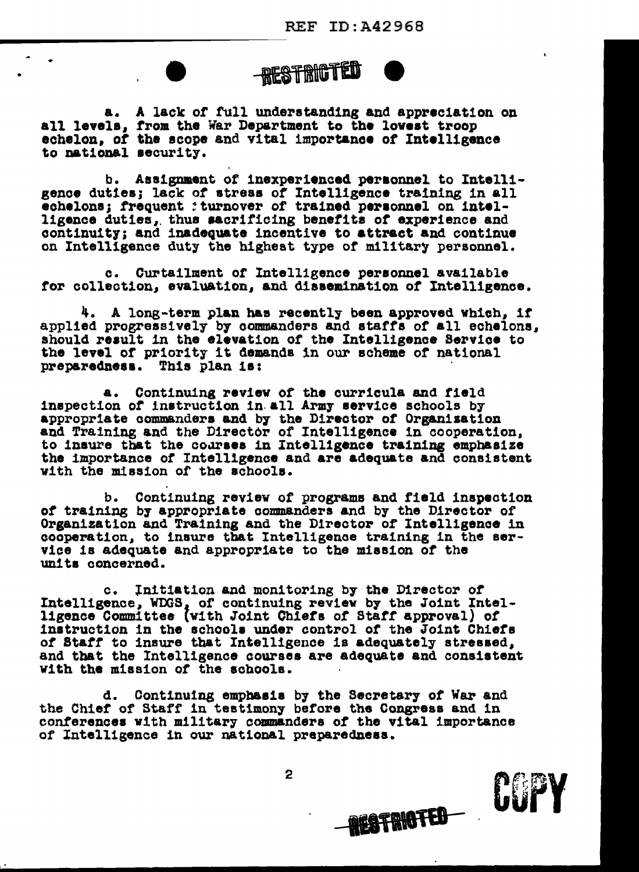

a. A lack of full understanding and appreciation on<br>all levels, from the War Department to the lovest troop echelon, of the scope and vital importance of Intelligence to national aecurity.

•

b. Assignment of inexperienced personnel to Intelligence duties; lack *ot* atreaa of Intelligence training in all echelons; frequent : turnover of trained personnel on intelligence duties,. thus ••cr1tic1ng benefits *ot* experience and continuity; and inadequate incentive to attract and continue on Intelligence duty the highest type of military personnel.

c. Curtailment or Intelligence personnel available tor collection, evaluation, and diaaemination *ot* Intelligence.

4. A long-term plan has recently been approved which, it applied progressively by commanders and staffs of all echelons, should result in the elevation of the Intelligence Service to the level of priority it demands in our scheme of national preparedness. This plan is:

a. Continuing reviev *ot* the curricula and field inspection of instruction in all Army service schools by appropriate commanders and by the Director of Organization and Training and the Director of Intelligence in cooperation, to insure that the courses in Intelligence training emphasize the importance of Intelligence and are adequate and consistent with the mission of the schools.

b. Continuing review *ot* programs and field inspection of training by appropriate commanders and by the Director or Organization and Training and the Director *or* Intelligence in cooperation, to insure that Intelligenae training in the service is adequate and appropriate to the mission of the units concerned.

c. ln1t1atlon and monitoring by the Director or Intelligence, WDGS, of continuing review by the Joint Intelligence Committee v1th Joint Chiera *ot* Starr approval) *ot*  instruction in the schools under control of the Joint Chiefs *ot* Starr to insure that Intelligence is adequately stressed, and tbat the Intelligence courses are adequate and consistent with the mission of the schools.

d. Continuing emphasis by the Secretary of War and the Chief of Staff in testimony before the Congress and in conferences with military commanders of the vital importance of Intelligence in our national preparedness.

2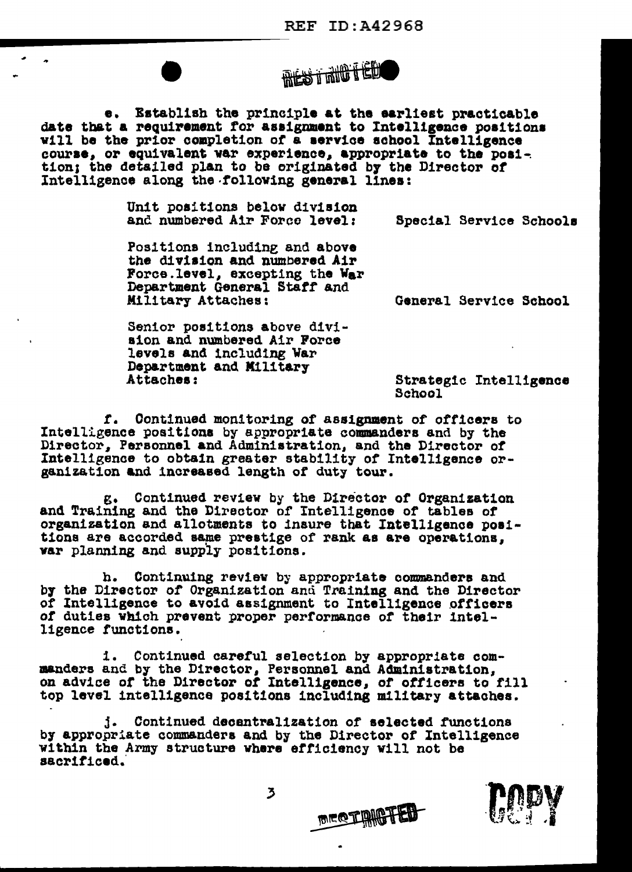

Establish the principle at the earliest practicable **e.** date that a requirement for assignment to Intelligence positions will be the prior completion of a service school Intelligence course, or equivalent war experience, appropriate to the position; the detailed plan to be originated by the Director of Intelligence along the following general lines:

> Unit positions below division and numbered Air Force level:

Special Service Schools

Positions including and above the division and numbered Air Force.level, excepting the War Department General Staff and Military Attaches:

General Service School

Senior positions above division and numbered Air Force levels and including War Department and Military Attaches:

Strategic Intelligence School

f. Continued monitoring of assignment of officers to Intelligence positions by appropriate commanders and by the Director, Personnel and Administration, and the Director of Intelligence to obtain greater stability of Intelligence organization and increased length of duty tour.

g. Continued review by the Director of Organization and Training and the Director of Intelligence of tables of organization and allotments to insure that Intelligence positions are accorded same prestige of rank as are operations. war planning and supply positions.

h. Continuing review by appropriate commanders and by the Director of Organization and Training and the Director of Intelligence to avoid assignment to Intelligence officers of duties which prevent proper performance of their intelligence functions.

1. Continued careful selection by appropriate com-<br>manders and by the Director, Personnel and Administration, on advice of the Director of Intelligence, of officers to fill top level intelligence positions including military attaches.

j. Continued decentralization of selected functions by appropriate commanders and by the Director of Intelligence within the Army structure where efficiency will not be sacrificed.

**MEQTAMPTED** 



 $\overline{5}$